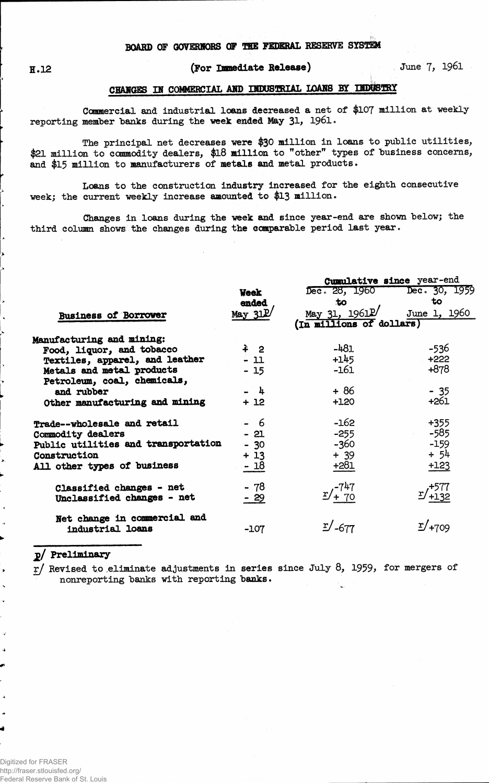## **(For Immediate Release) June 7, 1961**

## **CHANGES IN COMMERCIAL AMD INDUSTRIAL LOANS BY**

**Commercial and industrial loans decreased a net of \$107 million at weekly reporting member "banks during the week ended May 31, 1961.**

**The principal net decreases were \$30 million in loans to public utilities, \$21 million to commodity dealers, \$18 million to "other" types of "business concerns, and \$15 million to manufacturers of metals and metal products.**

**Loans to the construction industry increased for the eighth consecutive week; the current weekly increase amounted to \$13 million.**

**Changes in loans during the week and since year-end are shown "below; the third column shows the changes during the comparable period last year.**

|                                     |                     | Cumulative since year-end   |                      |  |  |  |  |  |
|-------------------------------------|---------------------|-----------------------------|----------------------|--|--|--|--|--|
|                                     | <b>Week</b>         | Dec. 28, 1960 Dec. 30, 1959 |                      |  |  |  |  |  |
|                                     | ended               | .to                         | to                   |  |  |  |  |  |
| <b>Business of Borrower</b>         | May 31 <sup>P</sup> | May $31, 1961$ <sup>p</sup> | June 1, 1960         |  |  |  |  |  |
|                                     |                     | (In millions of dollars)    |                      |  |  |  |  |  |
| Manufacturing and mining:           |                     |                             |                      |  |  |  |  |  |
| Food, liquor, and tobacco           | $\pm$ 2             | $-481$                      | -536                 |  |  |  |  |  |
| Textiles, apparel, and leather      | $-11$               | $+145$                      | $+222$               |  |  |  |  |  |
| Metals and metal products           | $-15$               | $-161$                      | $+878$               |  |  |  |  |  |
| Petroleum, coal, chemicals,         |                     |                             |                      |  |  |  |  |  |
| and rubber                          | $-1$                | $+86$                       | $-35$                |  |  |  |  |  |
| Other manufacturing and mining      | + 12                | $+120$                      | $+261$               |  |  |  |  |  |
| Trade--wholesale and retail         | - 6                 | $-162$                      | $+355$               |  |  |  |  |  |
| Commodity dealers                   | $-21$               | $-255$                      | -585                 |  |  |  |  |  |
| Public utilities and transportation | $-30$               | $-360$                      | $-159$               |  |  |  |  |  |
| Construction                        | $+13$               | $+ 39$                      | $+54$                |  |  |  |  |  |
| All other types of business         | $-18$               | $+281$                      | $+123$               |  |  |  |  |  |
| Classified changes - net            | - 78                |                             |                      |  |  |  |  |  |
| Unclassified changes - net          | - 29                | $y'^{-747}_{+70}$           | $x/1577$<br>$x/132$  |  |  |  |  |  |
| Net change in commercial and        |                     |                             |                      |  |  |  |  |  |
| industrial loans                    | $-107$              | $\mathbb{Z}/_{-677}$        | $\mathbb{Z}/_{+709}$ |  |  |  |  |  |
|                                     |                     |                             |                      |  |  |  |  |  |

## **jj>/ Preliminary**

4

 $\overline{\phantom{a}}$  $\ddot{\phantom{0}}$ 

**4** 

**xj Revised to .eliminate adjustments in series since July 8, 1959> for mergers of nonreporting "banks with reporting "banks.**

Digitized for FRASER http://fraser.stlouisfed.org/ Federal Reserve Bank of St. Louis